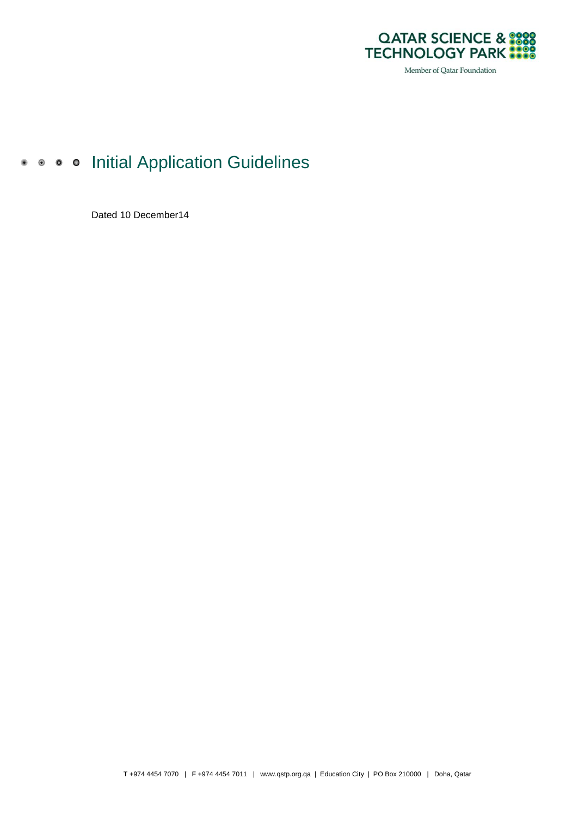

# • • • • Initial Application Guidelines

Dated 10 December14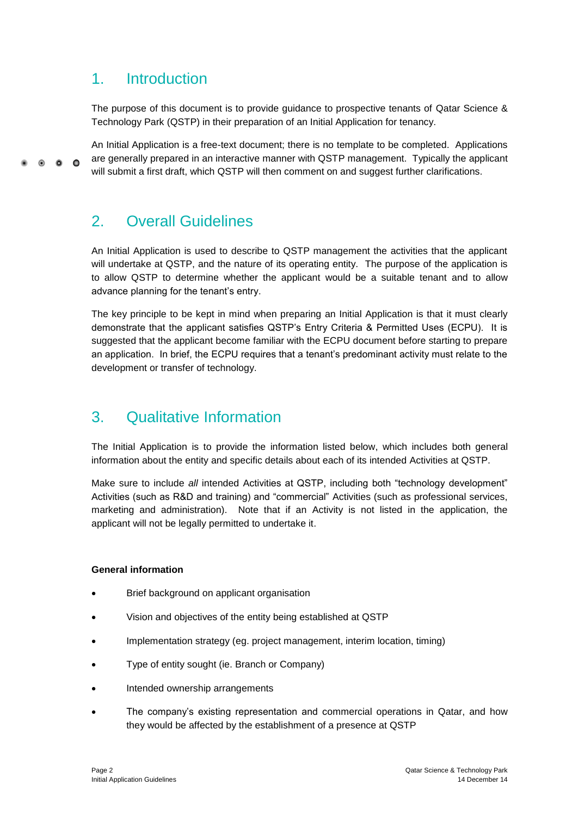### 1. Introduction

The purpose of this document is to provide guidance to prospective tenants of Qatar Science & Technology Park (QSTP) in their preparation of an Initial Application for tenancy.

An Initial Application is a free-text document; there is no template to be completed. Applications are generally prepared in an interactive manner with QSTP management. Typically the applicant  $\circ$   $\circ$   $\circ$ will submit a first draft, which QSTP will then comment on and suggest further clarifications.

## 2. Overall Guidelines

An Initial Application is used to describe to QSTP management the activities that the applicant will undertake at QSTP, and the nature of its operating entity. The purpose of the application is to allow QSTP to determine whether the applicant would be a suitable tenant and to allow advance planning for the tenant's entry.

The key principle to be kept in mind when preparing an Initial Application is that it must clearly demonstrate that the applicant satisfies QSTP's Entry Criteria & Permitted Uses (ECPU). It is suggested that the applicant become familiar with the ECPU document before starting to prepare an application. In brief, the ECPU requires that a tenant's predominant activity must relate to the development or transfer of technology.

# 3. Qualitative Information

The Initial Application is to provide the information listed below, which includes both general information about the entity and specific details about each of its intended Activities at QSTP.

Make sure to include *all* intended Activities at QSTP, including both "technology development" Activities (such as R&D and training) and "commercial" Activities (such as professional services, marketing and administration). Note that if an Activity is not listed in the application, the applicant will not be legally permitted to undertake it.

#### **General information**

- Brief background on applicant organisation
- Vision and objectives of the entity being established at QSTP
- Implementation strategy (eg. project management, interim location, timing)
- Type of entity sought (ie. Branch or Company)
- Intended ownership arrangements
- The company's existing representation and commercial operations in Qatar, and how they would be affected by the establishment of a presence at QSTP